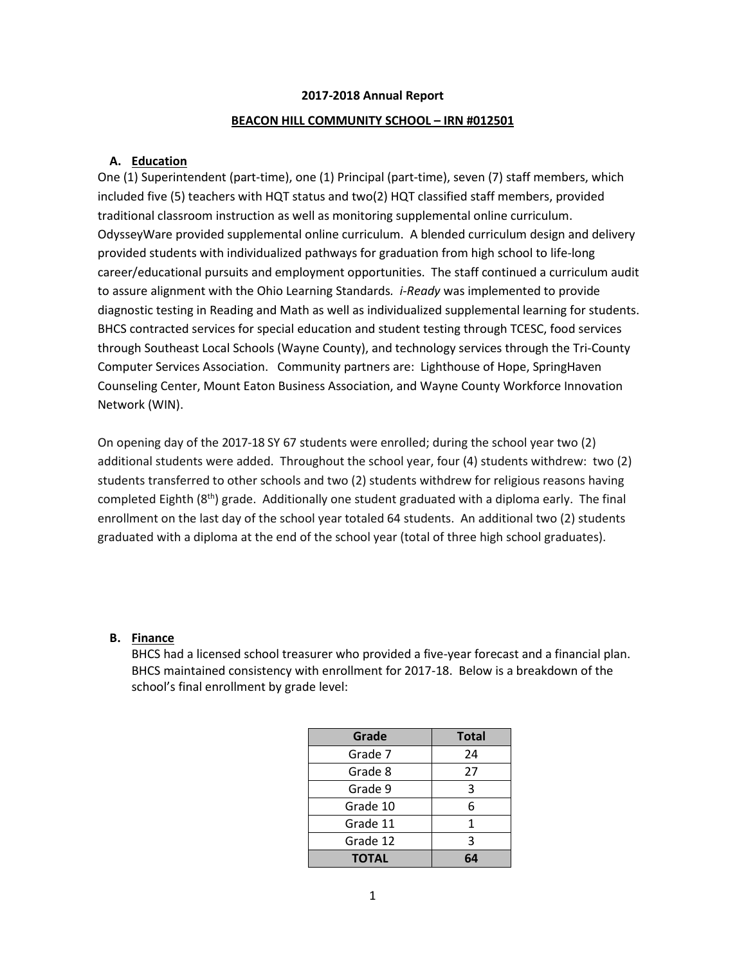## **2017-2018 Annual Report**

#### **BEACON HILL COMMUNITY SCHOOL – IRN #012501**

#### **A. Education**

One (1) Superintendent (part-time), one (1) Principal (part-time), seven (7) staff members, which included five (5) teachers with HQT status and two(2) HQT classified staff members, provided traditional classroom instruction as well as monitoring supplemental online curriculum. OdysseyWare provided supplemental online curriculum. A blended curriculum design and delivery provided students with individualized pathways for graduation from high school to life-long career/educational pursuits and employment opportunities. The staff continued a curriculum audit to assure alignment with the Ohio Learning Standards*. i-Ready* was implemented to provide diagnostic testing in Reading and Math as well as individualized supplemental learning for students. BHCS contracted services for special education and student testing through TCESC, food services through Southeast Local Schools (Wayne County), and technology services through the Tri-County Computer Services Association. Community partners are: Lighthouse of Hope, SpringHaven Counseling Center, Mount Eaton Business Association, and Wayne County Workforce Innovation Network (WIN).

On opening day of the 2017-18 SY 67 students were enrolled; during the school year two (2) additional students were added. Throughout the school year, four (4) students withdrew: two (2) students transferred to other schools and two (2) students withdrew for religious reasons having completed Eighth  $(8<sup>th</sup>)$  grade. Additionally one student graduated with a diploma early. The final enrollment on the last day of the school year totaled 64 students. An additional two (2) students graduated with a diploma at the end of the school year (total of three high school graduates).

#### **B. Finance**

BHCS had a licensed school treasurer who provided a five-year forecast and a financial plan. BHCS maintained consistency with enrollment for 2017-18. Below is a breakdown of the school's final enrollment by grade level:

| Grade        | <b>Total</b> |
|--------------|--------------|
| Grade 7      | 24           |
| Grade 8      | 27           |
| Grade 9      | 3            |
| Grade 10     | 6            |
| Grade 11     | 1            |
| Grade 12     | 3            |
| <b>TOTAL</b> | 64           |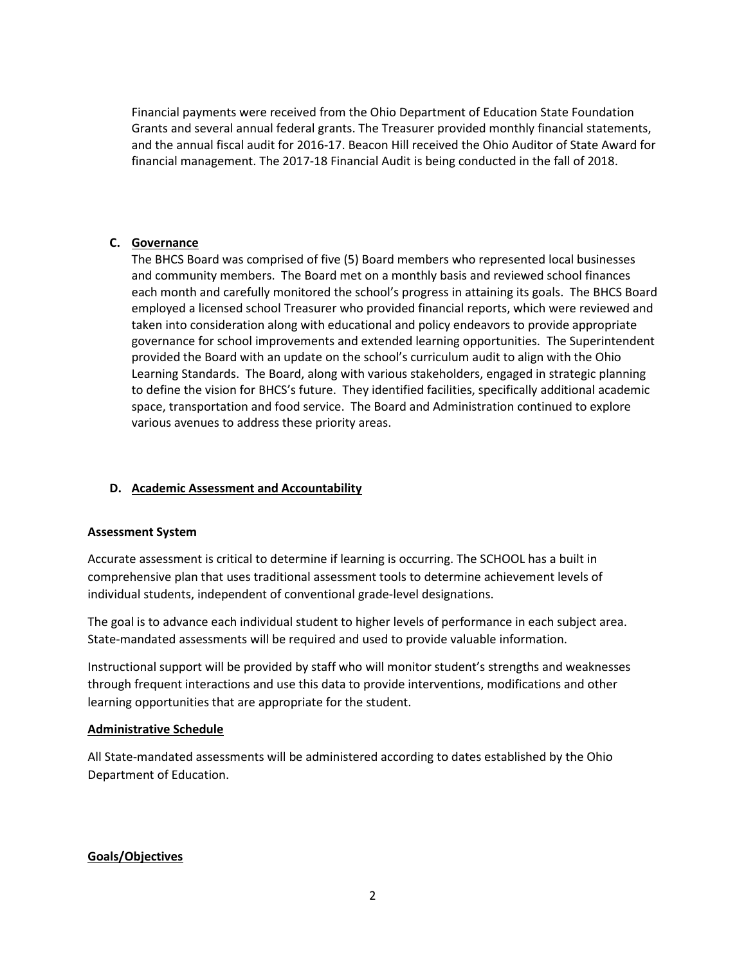Financial payments were received from the Ohio Department of Education State Foundation Grants and several annual federal grants. The Treasurer provided monthly financial statements, and the annual fiscal audit for 2016-17. Beacon Hill received the Ohio Auditor of State Award for financial management. The 2017-18 Financial Audit is being conducted in the fall of 2018.

## **C. Governance**

The BHCS Board was comprised of five (5) Board members who represented local businesses and community members. The Board met on a monthly basis and reviewed school finances each month and carefully monitored the school's progress in attaining its goals. The BHCS Board employed a licensed school Treasurer who provided financial reports, which were reviewed and taken into consideration along with educational and policy endeavors to provide appropriate governance for school improvements and extended learning opportunities. The Superintendent provided the Board with an update on the school's curriculum audit to align with the Ohio Learning Standards. The Board, along with various stakeholders, engaged in strategic planning to define the vision for BHCS's future. They identified facilities, specifically additional academic space, transportation and food service. The Board and Administration continued to explore various avenues to address these priority areas.

## **D. Academic Assessment and Accountability**

### **Assessment System**

Accurate assessment is critical to determine if learning is occurring. The SCHOOL has a built in comprehensive plan that uses traditional assessment tools to determine achievement levels of individual students, independent of conventional grade-level designations.

The goal is to advance each individual student to higher levels of performance in each subject area. State-mandated assessments will be required and used to provide valuable information.

Instructional support will be provided by staff who will monitor student's strengths and weaknesses through frequent interactions and use this data to provide interventions, modifications and other learning opportunities that are appropriate for the student.

### **Administrative Schedule**

All State-mandated assessments will be administered according to dates established by the Ohio Department of Education.

### **Goals/Objectives**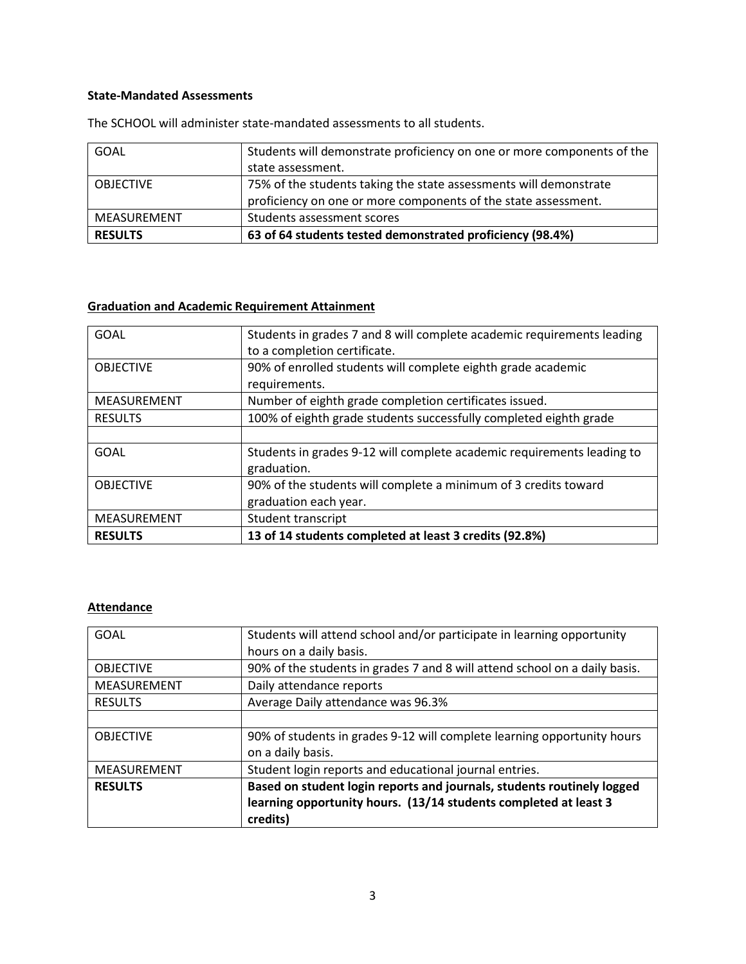## **State-Mandated Assessments**

| GOAL             | Students will demonstrate proficiency on one or more components of the |
|------------------|------------------------------------------------------------------------|
|                  | state assessment.                                                      |
| <b>OBJECTIVE</b> | 75% of the students taking the state assessments will demonstrate      |
|                  | proficiency on one or more components of the state assessment.         |
| MEASUREMENT      | Students assessment scores                                             |
| <b>RESULTS</b>   | 63 of 64 students tested demonstrated proficiency (98.4%)              |

The SCHOOL will administer state-mandated assessments to all students.

# **Graduation and Academic Requirement Attainment**

| <b>RESULTS</b>   | 13 of 14 students completed at least 3 credits (92.8%)                 |
|------------------|------------------------------------------------------------------------|
| MEASUREMENT      | Student transcript                                                     |
|                  | graduation each year.                                                  |
| <b>OBJECTIVE</b> | 90% of the students will complete a minimum of 3 credits toward        |
|                  | graduation.                                                            |
| GOAL             | Students in grades 9-12 will complete academic requirements leading to |
|                  |                                                                        |
| <b>RESULTS</b>   | 100% of eighth grade students successfully completed eighth grade      |
| MEASUREMENT      | Number of eighth grade completion certificates issued.                 |
|                  | requirements.                                                          |
| <b>OBJECTIVE</b> | 90% of enrolled students will complete eighth grade academic           |
|                  | to a completion certificate.                                           |
| <b>GOAL</b>      | Students in grades 7 and 8 will complete academic requirements leading |

# **Attendance**

| <b>GOAL</b>      | Students will attend school and/or participate in learning opportunity     |
|------------------|----------------------------------------------------------------------------|
|                  | hours on a daily basis.                                                    |
| <b>OBJECTIVE</b> | 90% of the students in grades 7 and 8 will attend school on a daily basis. |
| MEASUREMENT      | Daily attendance reports                                                   |
| <b>RESULTS</b>   | Average Daily attendance was 96.3%                                         |
|                  |                                                                            |
| <b>OBJECTIVE</b> | 90% of students in grades 9-12 will complete learning opportunity hours    |
|                  | on a daily basis.                                                          |
| MEASUREMENT      | Student login reports and educational journal entries.                     |
| <b>RESULTS</b>   | Based on student login reports and journals, students routinely logged     |
|                  | learning opportunity hours. (13/14 students completed at least 3           |
|                  | credits)                                                                   |